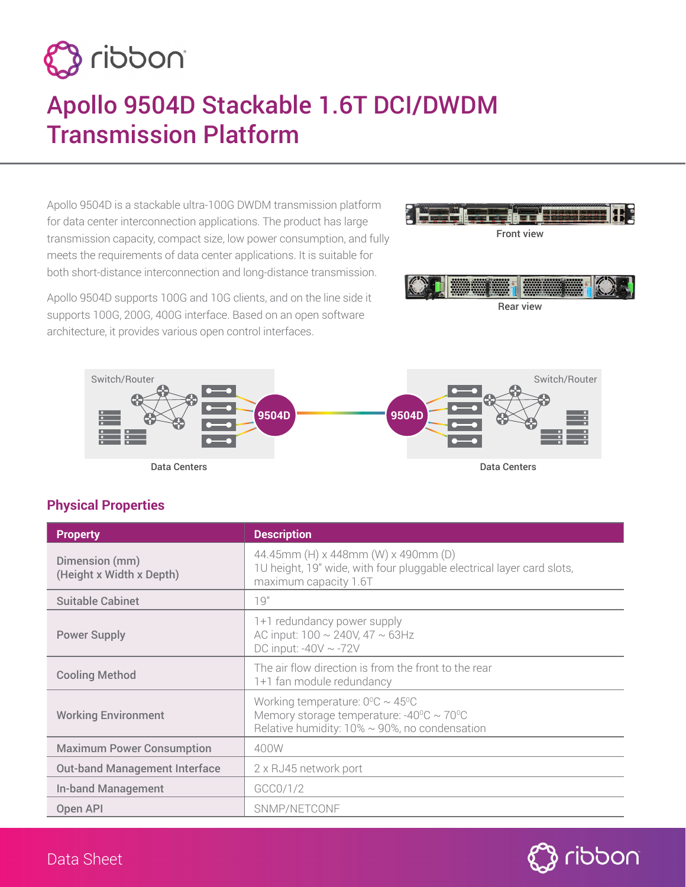

# Apollo 9504D Stackable 1.6T DCI/DWDM Transmission Platform

Apollo 9504D is a stackable ultra-100G DWDM transmission platform for data center interconnection applications. The product has large transmission capacity, compact size, low power consumption, and fully meets the requirements of data center applications. It is suitable for both short-distance interconnection and long-distance transmission.

Apollo 9504D supports 100G and 10G clients, and on the line side it supports 100G, 200G, 400G interface. Based on an open software architecture, it provides various open control interfaces.





Rear view



**Physical Properties**

| <b>Property</b>                            | <b>Description</b>                                                                                                                                              |
|--------------------------------------------|-----------------------------------------------------------------------------------------------------------------------------------------------------------------|
| Dimension (mm)<br>(Height x Width x Depth) | 44.45mm (H) x 448mm (W) x 490mm (D)<br>1U height, 19" wide, with four pluggable electrical layer card slots,<br>maximum capacity 1.6T                           |
| <b>Suitable Cabinet</b>                    | 19"                                                                                                                                                             |
| <b>Power Supply</b>                        | 1+1 redundancy power supply<br>AC input: $100 \sim 240V$ , $47 \sim 63Hz$<br>DC input: $-40V \sim -72V$                                                         |
| <b>Cooling Method</b>                      | The air flow direction is from the front to the rear<br>1+1 fan module redundancy                                                                               |
| <b>Working Environment</b>                 | Working temperature: $0^0C \sim 45^0C$<br>Memory storage temperature: -40 $\degree$ C ~ 70 $\degree$ C<br>Relative humidity: $10\% \sim 90\%$ , no condensation |
| <b>Maximum Power Consumption</b>           | 400W                                                                                                                                                            |
| <b>Out-band Management Interface</b>       | 2 x RJ45 network port                                                                                                                                           |
| <b>In-band Management</b>                  | GCC0/1/2                                                                                                                                                        |
| Open API                                   | SNMP/NETCONF                                                                                                                                                    |



### Data Sheet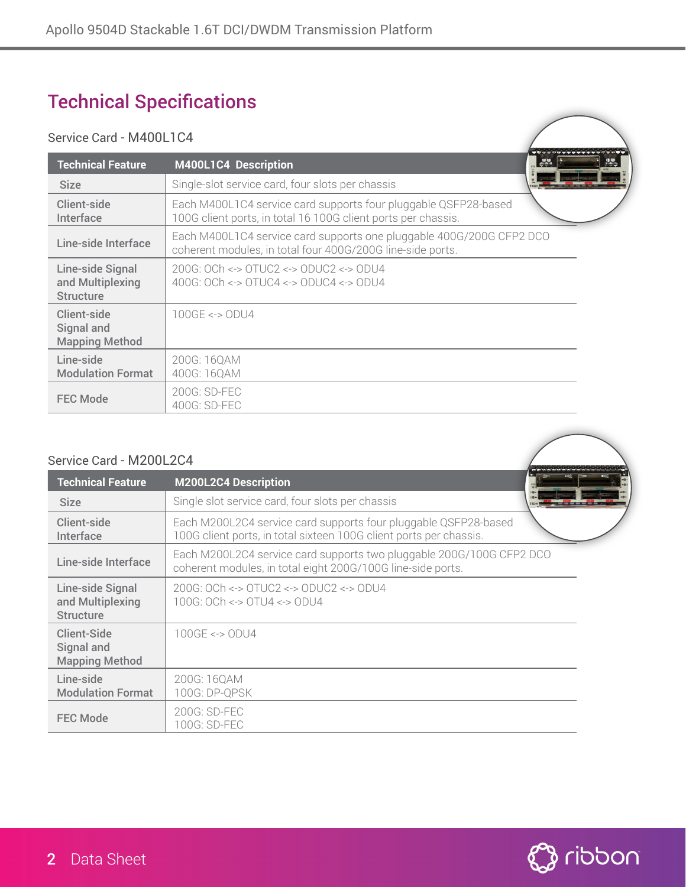## Technical Specifications

#### Service Card - M400L1C4

| OCIVICC OGIU INTOULIOT                                   |                                                                                                                                    |            |
|----------------------------------------------------------|------------------------------------------------------------------------------------------------------------------------------------|------------|
| <b>Technical Feature</b>                                 | $\frac{1}{2}$<br>M400L1C4 Description                                                                                              | <b>MAG</b> |
| <b>Size</b>                                              | Single-slot service card, four slots per chassis                                                                                   |            |
| Client-side<br>Interface                                 | Each M400L1C4 service card supports four pluggable QSFP28-based<br>100G client ports, in total 16 100G client ports per chassis.   |            |
| Line-side Interface                                      | Each M400L1C4 service card supports one pluggable 400G/200G CFP2 DCO<br>coherent modules, in total four 400G/200G line-side ports. |            |
| Line-side Signal<br>and Multiplexing<br><b>Structure</b> | 200G: OCh <-> OTUC2 <-> ODUC2 <-> ODU4<br>400G: OCh <-> OTUC4 <-> ODUC4 <-> ODU4                                                   |            |
| Client-side<br>Signal and<br><b>Mapping Method</b>       | $100$ GE <-> $ODU4$                                                                                                                |            |
| Line-side<br><b>Modulation Format</b>                    | 200G: 16QAM<br>400G: 16QAM                                                                                                         |            |
| <b>FEC Mode</b>                                          | 200G: SD-FEC<br>400G: SD-FEC                                                                                                       |            |

#### Service Card - M200L2C4

| <b>Technical Feature</b>                                 | <b>M200L2C4 Description</b>                                                                                                           |  |
|----------------------------------------------------------|---------------------------------------------------------------------------------------------------------------------------------------|--|
| <b>Size</b>                                              | Single slot service card, four slots per chassis                                                                                      |  |
| <b>Client-side</b><br>Interface                          | Each M200L2C4 service card supports four pluggable QSFP28-based<br>100G client ports, in total sixteen 100G client ports per chassis. |  |
| Line-side Interface                                      | Each M200L2C4 service card supports two pluggable 200G/100G CFP2 DCO<br>coherent modules, in total eight 200G/100G line-side ports.   |  |
| Line-side Signal<br>and Multiplexing<br><b>Structure</b> | 200G: OCh <-> OTUC2 <-> ODUC2 <-> ODU4<br>100G: OCh <-> OTU4 <-> ODU4                                                                 |  |
| Client-Side<br>Signal and<br><b>Mapping Method</b>       | $100GE \le 0DU4$                                                                                                                      |  |
| Line-side<br><b>Modulation Format</b>                    | 200G: 160AM<br>100G: DP-QPSK                                                                                                          |  |
| <b>FEC Mode</b>                                          | 200G: SD-FEC<br>100G: SD-FEC                                                                                                          |  |